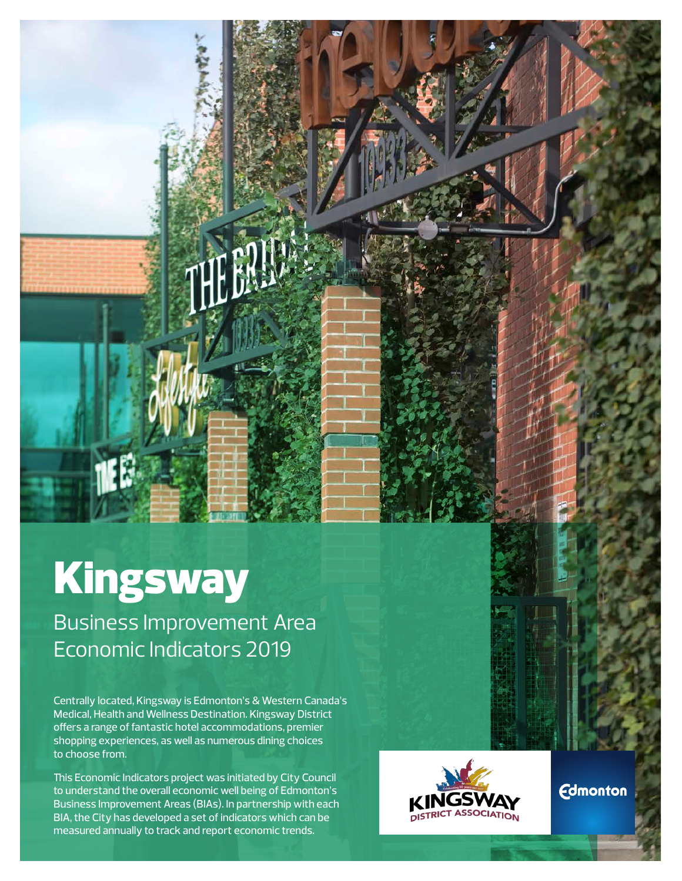

# Kingsway

Business Improvement Area Economic Indicators 2019

Centrally located, Kingsway is Edmonton's & Western Canada's Medical, Health and Wellness Destination. Kingsway District offers a range of fantastic hotel accommodations, premier shopping experiences, as well as numerous dining choices to choose from.

This Economic Indicators project was initiated by City Council to understand the overall economic well being of Edmonton's Business Improvement Areas (BIAs). In partnership with each BIA, the City has developed a set of indicators which can be measured annually to track and report economic trends.



**Edmonton**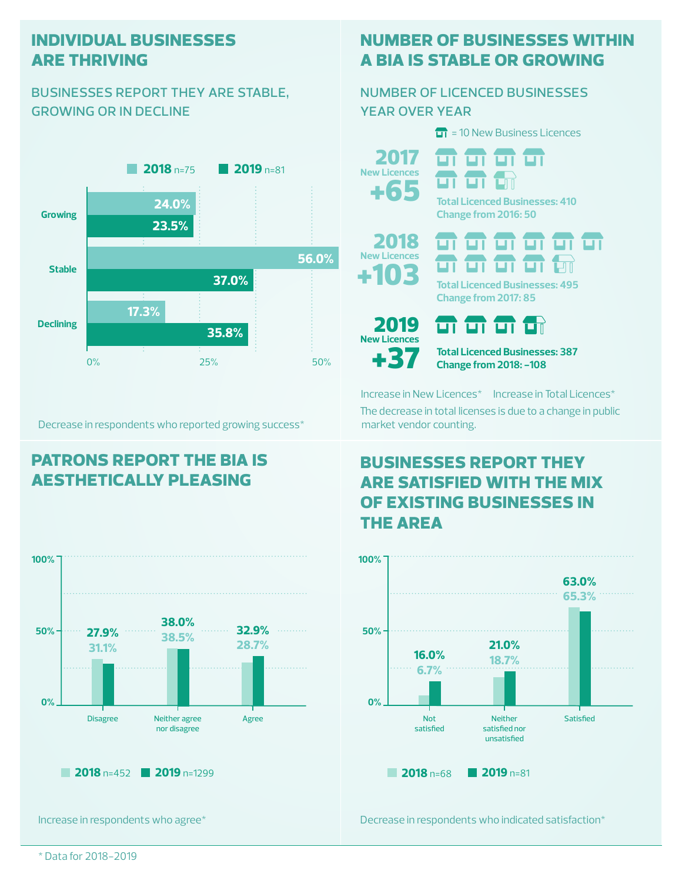#### **individual businesses are thriving**

#### businesses report they are stable, growing or in decline



Decrease in respondents who reported growing success\*

## **patrons report the bia is aesthetically pleasing**



Increase in respondents who agree\*

# **number of businesses within a bia is stable or growing**

#### number of licenced businesses year over year

 $\overline{11}$  = 10 New Business Licences



म म म म म

**Total Licenced Businesses: 410 Change from 2016: 50**



**Change from 2017: 85**



+103

2018 **New Licences**

**37** Total Licenced Businesses: 387<br>Change from 2018: -108

Increase in New Licences\* Increase in Total Licences\* The decrease in total licenses is due to a change in public market vendor counting.

न न न ज

## **businesses report they are satisfied with the mix of existing businesses in the area**



Decrease in respondents who indicated satisfaction\*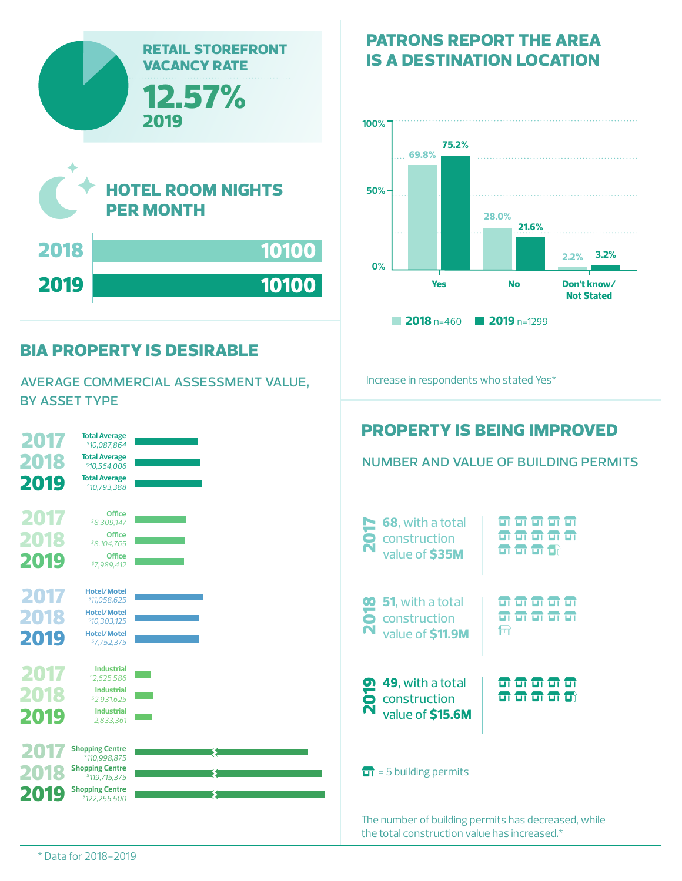

#### **bia property is desirable**

average commercial assessment value, by asset type



# **patrons report the area is a destination location**



Increase in respondents who stated Yes\*



The number of building permits has decreased, while the total construction value has increased.\*